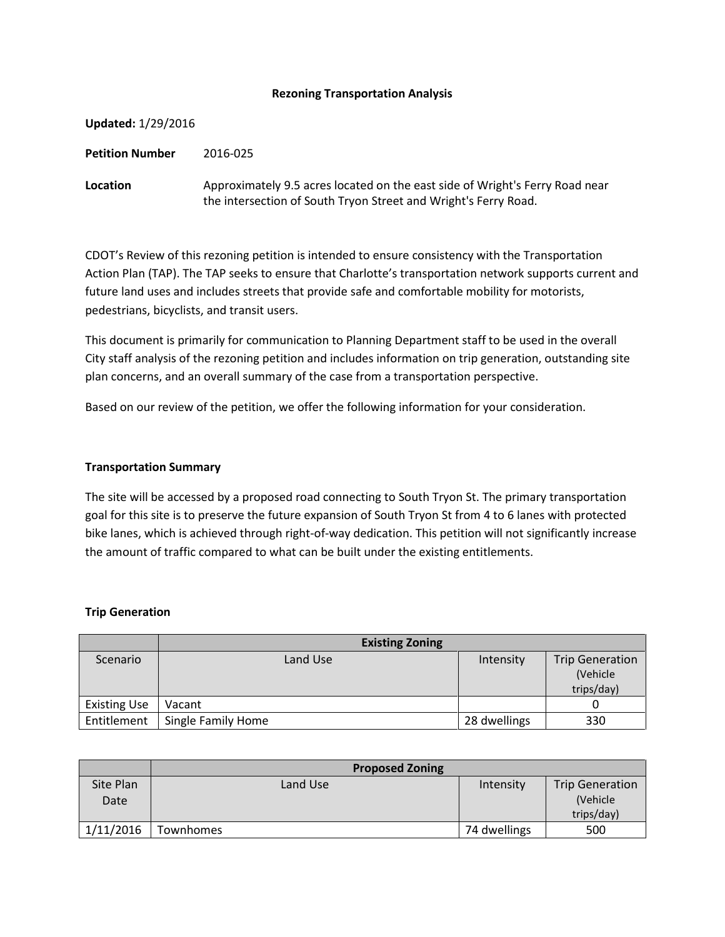### **Rezoning Transportation Analysis**

| Updated: 1/29/2016 |                                                                                                                                                 |
|--------------------|-------------------------------------------------------------------------------------------------------------------------------------------------|
| Petition Number    | 2016-025                                                                                                                                        |
| Location           | Approximately 9.5 acres located on the east side of Wright's Ferry Road near<br>the intersection of South Tryon Street and Wright's Ferry Road. |

CDOT's Review of this rezoning petition is intended to ensure consistency with the Transportation Action Plan (TAP). The TAP seeks to ensure that Charlotte's transportation network supports current and future land uses and includes streets that provide safe and comfortable mobility for motorists, pedestrians, bicyclists, and transit users.

This document is primarily for communication to Planning Department staff to be used in the overall City staff analysis of the rezoning petition and includes information on trip generation, outstanding site plan concerns, and an overall summary of the case from a transportation perspective.

Based on our review of the petition, we offer the following information for your consideration.

#### **Transportation Summary**

The site will be accessed by a proposed road connecting to South Tryon St. The primary transportation goal for this site is to preserve the future expansion of South Tryon St from 4 to 6 lanes with protected bike lanes, which is achieved through right-of-way dedication. This petition will not significantly increase the amount of traffic compared to what can be built under the existing entitlements.

#### **Trip Generation**

|                     | <b>Existing Zoning</b> |              |                        |
|---------------------|------------------------|--------------|------------------------|
| Scenario            | Land Use               | Intensity    | <b>Trip Generation</b> |
|                     |                        |              | (Vehicle               |
|                     |                        |              | trips/day)             |
| <b>Existing Use</b> | Vacant                 |              |                        |
| Entitlement         | Single Family Home     | 28 dwellings | 330                    |

|                   | <b>Proposed Zoning</b> |              |                                                   |
|-------------------|------------------------|--------------|---------------------------------------------------|
| Site Plan<br>Date | Land Use               | Intensity    | <b>Trip Generation</b><br>(Vehicle)<br>trips/day) |
| 1/11/2016         | <b>Townhomes</b>       | 74 dwellings | 500                                               |